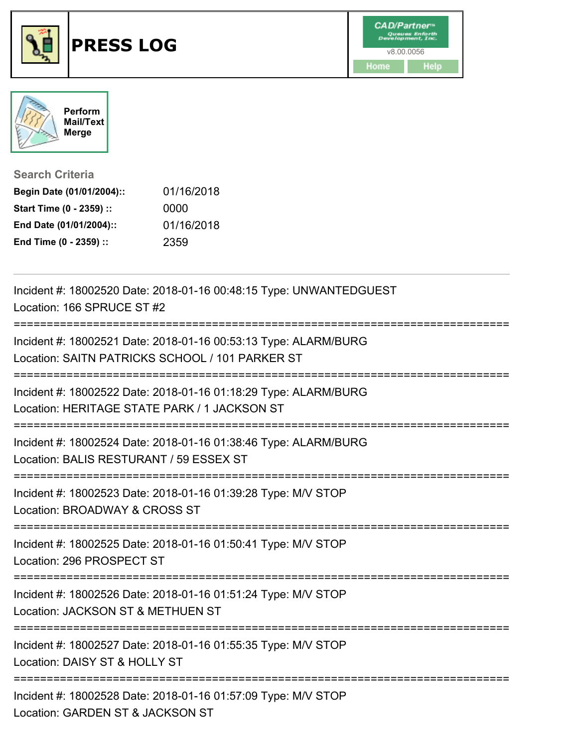



## **Search Criteria**

| Begin Date (01/01/2004):: | 01/16/2018 |
|---------------------------|------------|
| Start Time (0 - 2359) ::  | 0000       |
| End Date (01/01/2004)::   | 01/16/2018 |
| End Time (0 - 2359) ::    | 2359       |

| Incident #: 18002520 Date: 2018-01-16 00:48:15 Type: UNWANTEDGUEST<br>Location: 166 SPRUCE ST #2                   |
|--------------------------------------------------------------------------------------------------------------------|
| Incident #: 18002521 Date: 2018-01-16 00:53:13 Type: ALARM/BURG<br>Location: SAITN PATRICKS SCHOOL / 101 PARKER ST |
| Incident #: 18002522 Date: 2018-01-16 01:18:29 Type: ALARM/BURG<br>Location: HERITAGE STATE PARK / 1 JACKSON ST    |
| Incident #: 18002524 Date: 2018-01-16 01:38:46 Type: ALARM/BURG<br>Location: BALIS RESTURANT / 59 ESSEX ST         |
| Incident #: 18002523 Date: 2018-01-16 01:39:28 Type: M/V STOP<br>Location: BROADWAY & CROSS ST                     |
| Incident #: 18002525 Date: 2018-01-16 01:50:41 Type: M/V STOP<br>Location: 296 PROSPECT ST                         |
| Incident #: 18002526 Date: 2018-01-16 01:51:24 Type: M/V STOP<br>Location: JACKSON ST & METHUEN ST                 |
| Incident #: 18002527 Date: 2018-01-16 01:55:35 Type: M/V STOP<br>Location: DAISY ST & HOLLY ST                     |
| Incident #: 18002528 Date: 2018-01-16 01:57:09 Type: M/V STOP<br>Location: GARDEN ST & JACKSON ST                  |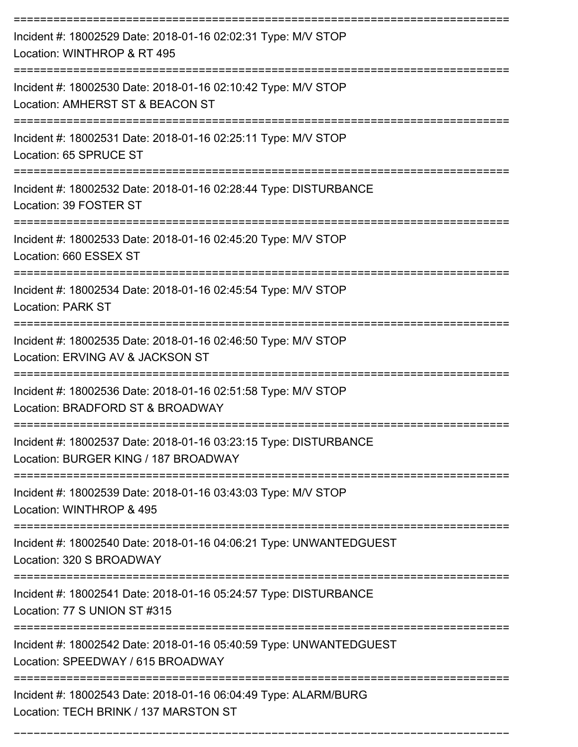| Incident #: 18002529 Date: 2018-01-16 02:02:31 Type: M/V STOP<br>Location: WINTHROP & RT 495             |
|----------------------------------------------------------------------------------------------------------|
| Incident #: 18002530 Date: 2018-01-16 02:10:42 Type: M/V STOP<br>Location: AMHERST ST & BEACON ST        |
| Incident #: 18002531 Date: 2018-01-16 02:25:11 Type: M/V STOP<br>Location: 65 SPRUCE ST                  |
| Incident #: 18002532 Date: 2018-01-16 02:28:44 Type: DISTURBANCE<br>Location: 39 FOSTER ST               |
| Incident #: 18002533 Date: 2018-01-16 02:45:20 Type: M/V STOP<br>Location: 660 ESSEX ST                  |
| Incident #: 18002534 Date: 2018-01-16 02:45:54 Type: M/V STOP<br><b>Location: PARK ST</b>                |
| Incident #: 18002535 Date: 2018-01-16 02:46:50 Type: M/V STOP<br>Location: ERVING AV & JACKSON ST        |
| Incident #: 18002536 Date: 2018-01-16 02:51:58 Type: M/V STOP<br>Location: BRADFORD ST & BROADWAY        |
| Incident #: 18002537 Date: 2018-01-16 03:23:15 Type: DISTURBANCE<br>Location: BURGER KING / 187 BROADWAY |
| Incident #: 18002539 Date: 2018-01-16 03:43:03 Type: M/V STOP<br>Location: WINTHROP & 495                |
| Incident #: 18002540 Date: 2018-01-16 04:06:21 Type: UNWANTEDGUEST<br>Location: 320 S BROADWAY           |
| Incident #: 18002541 Date: 2018-01-16 05:24:57 Type: DISTURBANCE<br>Location: 77 S UNION ST #315         |
| Incident #: 18002542 Date: 2018-01-16 05:40:59 Type: UNWANTEDGUEST<br>Location: SPEEDWAY / 615 BROADWAY  |
| Incident #: 18002543 Date: 2018-01-16 06:04:49 Type: ALARM/BURG<br>Location: TECH BRINK / 137 MARSTON ST |

===========================================================================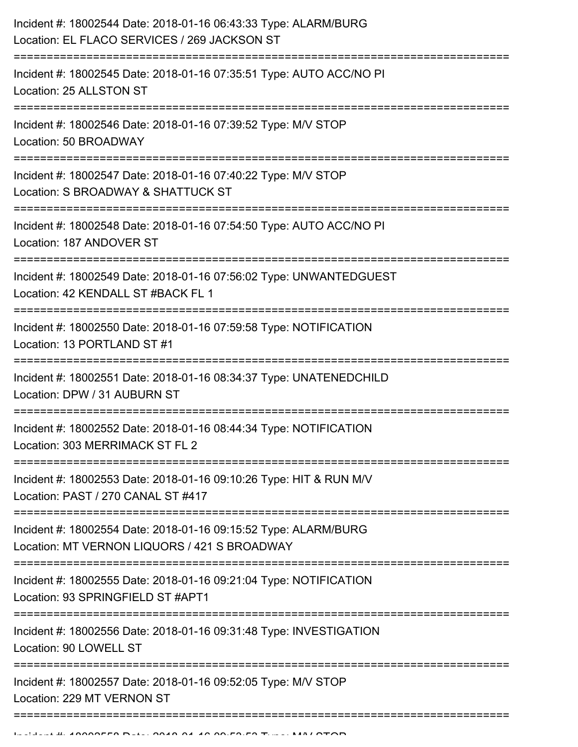| Incident #: 18002544 Date: 2018-01-16 06:43:33 Type: ALARM/BURG<br>Location: EL FLACO SERVICES / 269 JACKSON ST             |
|-----------------------------------------------------------------------------------------------------------------------------|
| Incident #: 18002545 Date: 2018-01-16 07:35:51 Type: AUTO ACC/NO PI<br>Location: 25 ALLSTON ST                              |
| Incident #: 18002546 Date: 2018-01-16 07:39:52 Type: M/V STOP<br>Location: 50 BROADWAY                                      |
| Incident #: 18002547 Date: 2018-01-16 07:40:22 Type: M/V STOP<br>Location: S BROADWAY & SHATTUCK ST                         |
| Incident #: 18002548 Date: 2018-01-16 07:54:50 Type: AUTO ACC/NO PI<br>Location: 187 ANDOVER ST                             |
| Incident #: 18002549 Date: 2018-01-16 07:56:02 Type: UNWANTEDGUEST<br>Location: 42 KENDALL ST #BACK FL 1<br>=============== |
| Incident #: 18002550 Date: 2018-01-16 07:59:58 Type: NOTIFICATION<br>Location: 13 PORTLAND ST #1                            |
| Incident #: 18002551 Date: 2018-01-16 08:34:37 Type: UNATENEDCHILD<br>Location: DPW / 31 AUBURN ST                          |
| Incident #: 18002552 Date: 2018-01-16 08:44:34 Type: NOTIFICATION<br>Location: 303 MERRIMACK ST FL 2                        |
| Incident #: 18002553 Date: 2018-01-16 09:10:26 Type: HIT & RUN M/V<br>Location: PAST / 270 CANAL ST #417                    |
| Incident #: 18002554 Date: 2018-01-16 09:15:52 Type: ALARM/BURG<br>Location: MT VERNON LIQUORS / 421 S BROADWAY             |
| Incident #: 18002555 Date: 2018-01-16 09:21:04 Type: NOTIFICATION<br>Location: 93 SPRINGFIELD ST #APT1                      |
| Incident #: 18002556 Date: 2018-01-16 09:31:48 Type: INVESTIGATION<br>Location: 90 LOWELL ST                                |
| Incident #: 18002557 Date: 2018-01-16 09:52:05 Type: M/V STOP<br>Location: 229 MT VERNON ST                                 |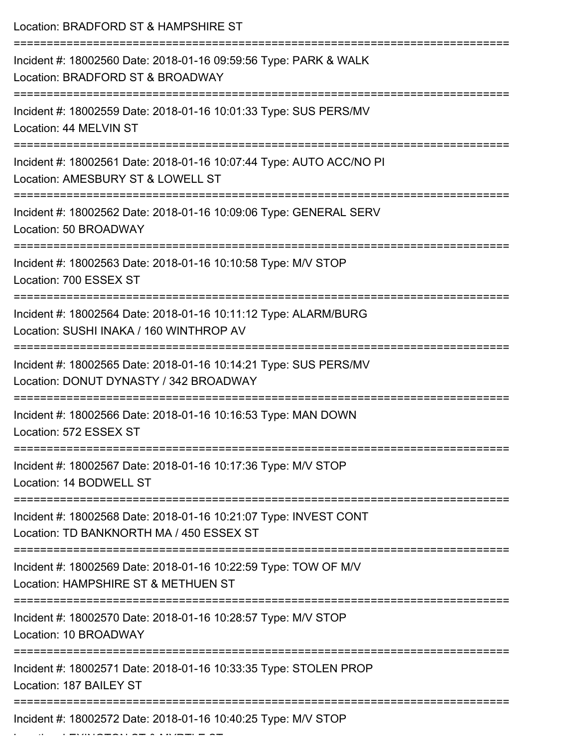| Location: BRADFORD ST & HAMPSHIRE ST                                                                         |
|--------------------------------------------------------------------------------------------------------------|
| Incident #: 18002560 Date: 2018-01-16 09:59:56 Type: PARK & WALK<br>Location: BRADFORD ST & BROADWAY         |
| Incident #: 18002559 Date: 2018-01-16 10:01:33 Type: SUS PERS/MV<br>Location: 44 MELVIN ST                   |
| Incident #: 18002561 Date: 2018-01-16 10:07:44 Type: AUTO ACC/NO PI<br>Location: AMESBURY ST & LOWELL ST     |
| Incident #: 18002562 Date: 2018-01-16 10:09:06 Type: GENERAL SERV<br>Location: 50 BROADWAY                   |
| Incident #: 18002563 Date: 2018-01-16 10:10:58 Type: M/V STOP<br>Location: 700 ESSEX ST                      |
| Incident #: 18002564 Date: 2018-01-16 10:11:12 Type: ALARM/BURG<br>Location: SUSHI INAKA / 160 WINTHROP AV   |
| Incident #: 18002565 Date: 2018-01-16 10:14:21 Type: SUS PERS/MV<br>Location: DONUT DYNASTY / 342 BROADWAY   |
| Incident #: 18002566 Date: 2018-01-16 10:16:53 Type: MAN DOWN<br>Location: 572 ESSEX ST                      |
| Incident #: 18002567 Date: 2018-01-16 10:17:36 Type: M/V STOP<br>Location: 14 BODWELL ST                     |
| Incident #: 18002568 Date: 2018-01-16 10:21:07 Type: INVEST CONT<br>Location: TD BANKNORTH MA / 450 ESSEX ST |
| Incident #: 18002569 Date: 2018-01-16 10:22:59 Type: TOW OF M/V<br>Location: HAMPSHIRE ST & METHUEN ST       |
| Incident #: 18002570 Date: 2018-01-16 10:28:57 Type: M/V STOP<br>Location: 10 BROADWAY                       |
| Incident #: 18002571 Date: 2018-01-16 10:33:35 Type: STOLEN PROP<br>Location: 187 BAILEY ST                  |
| Incident #: 18002572 Date: 2018-01-16 10:40:25 Type: M/V STOP                                                |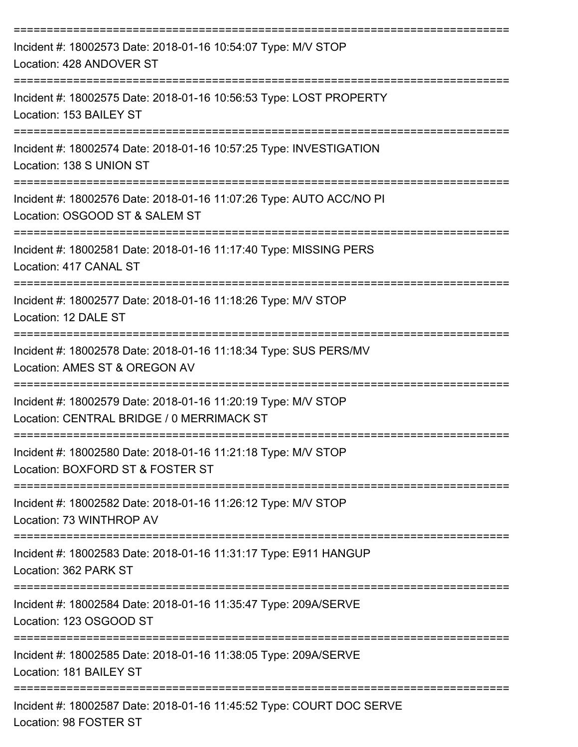| Incident #: 18002573 Date: 2018-01-16 10:54:07 Type: M/V STOP<br>Location: 428 ANDOVER ST                                    |
|------------------------------------------------------------------------------------------------------------------------------|
| Incident #: 18002575 Date: 2018-01-16 10:56:53 Type: LOST PROPERTY<br>Location: 153 BAILEY ST                                |
| Incident #: 18002574 Date: 2018-01-16 10:57:25 Type: INVESTIGATION<br>Location: 138 S UNION ST                               |
| Incident #: 18002576 Date: 2018-01-16 11:07:26 Type: AUTO ACC/NO PI<br>Location: OSGOOD ST & SALEM ST                        |
| Incident #: 18002581 Date: 2018-01-16 11:17:40 Type: MISSING PERS<br>Location: 417 CANAL ST                                  |
| Incident #: 18002577 Date: 2018-01-16 11:18:26 Type: M/V STOP<br>Location: 12 DALE ST                                        |
| Incident #: 18002578 Date: 2018-01-16 11:18:34 Type: SUS PERS/MV<br>Location: AMES ST & OREGON AV                            |
| Incident #: 18002579 Date: 2018-01-16 11:20:19 Type: M/V STOP<br>Location: CENTRAL BRIDGE / 0 MERRIMACK ST                   |
| Incident #: 18002580 Date: 2018-01-16 11:21:18 Type: M/V STOP<br>Location: BOXFORD ST & FOSTER ST                            |
| ===============================<br>Incident #: 18002582 Date: 2018-01-16 11:26:12 Type: M/V STOP<br>Location: 73 WINTHROP AV |
| Incident #: 18002583 Date: 2018-01-16 11:31:17 Type: E911 HANGUP<br>Location: 362 PARK ST                                    |
| Incident #: 18002584 Date: 2018-01-16 11:35:47 Type: 209A/SERVE<br>Location: 123 OSGOOD ST                                   |
| Incident #: 18002585 Date: 2018-01-16 11:38:05 Type: 209A/SERVE<br>Location: 181 BAILEY ST                                   |
| Incident #: 18002587 Date: 2018-01-16 11:45:52 Type: COURT DOC SERVE<br>Location: 98 FOSTER ST                               |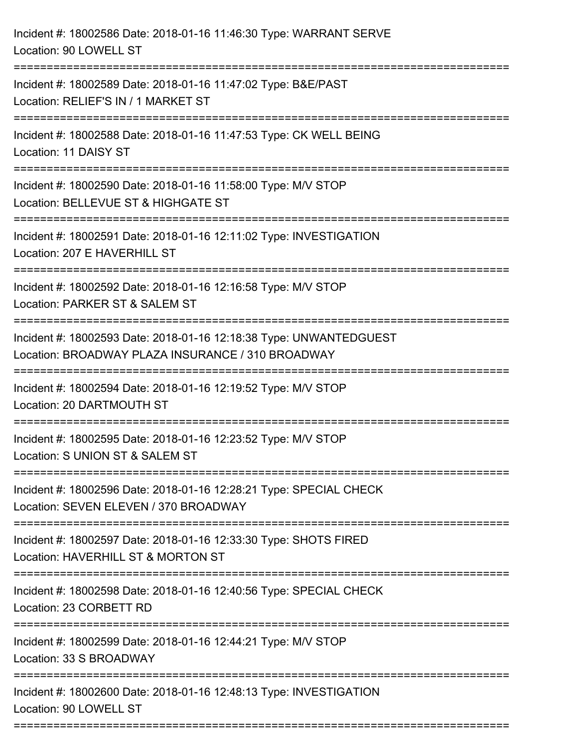| Incident #: 18002586 Date: 2018-01-16 11:46:30 Type: WARRANT SERVE<br>Location: 90 LOWELL ST                                       |
|------------------------------------------------------------------------------------------------------------------------------------|
| Incident #: 18002589 Date: 2018-01-16 11:47:02 Type: B&E/PAST<br>Location: RELIEF'S IN / 1 MARKET ST                               |
| Incident #: 18002588 Date: 2018-01-16 11:47:53 Type: CK WELL BEING<br>Location: 11 DAISY ST                                        |
| Incident #: 18002590 Date: 2018-01-16 11:58:00 Type: M/V STOP<br>Location: BELLEVUE ST & HIGHGATE ST                               |
| Incident #: 18002591 Date: 2018-01-16 12:11:02 Type: INVESTIGATION<br>Location: 207 E HAVERHILL ST<br>---------------------------- |
| Incident #: 18002592 Date: 2018-01-16 12:16:58 Type: M/V STOP<br>Location: PARKER ST & SALEM ST                                    |
| Incident #: 18002593 Date: 2018-01-16 12:18:38 Type: UNWANTEDGUEST<br>Location: BROADWAY PLAZA INSURANCE / 310 BROADWAY            |
| Incident #: 18002594 Date: 2018-01-16 12:19:52 Type: M/V STOP<br>Location: 20 DARTMOUTH ST                                         |
| Incident #: 18002595 Date: 2018-01-16 12:23:52 Type: M/V STOP<br>Location: S UNION ST & SALEM ST                                   |
| Incident #: 18002596 Date: 2018-01-16 12:28:21 Type: SPECIAL CHECK<br>Location: SEVEN ELEVEN / 370 BROADWAY                        |
| Incident #: 18002597 Date: 2018-01-16 12:33:30 Type: SHOTS FIRED<br>Location: HAVERHILL ST & MORTON ST                             |
| Incident #: 18002598 Date: 2018-01-16 12:40:56 Type: SPECIAL CHECK<br>Location: 23 CORBETT RD                                      |
| Incident #: 18002599 Date: 2018-01-16 12:44:21 Type: M/V STOP<br>Location: 33 S BROADWAY                                           |
| Incident #: 18002600 Date: 2018-01-16 12:48:13 Type: INVESTIGATION<br>Location: 90 LOWELL ST                                       |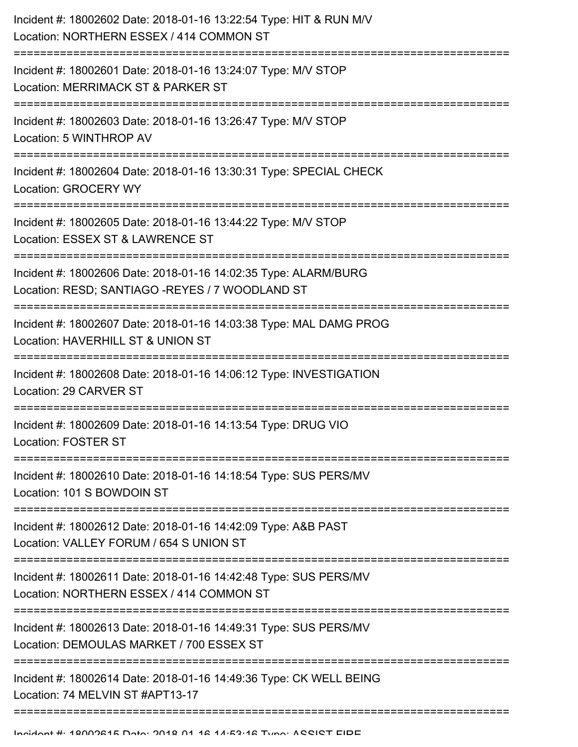| Incident #: 18002602 Date: 2018-01-16 13:22:54 Type: HIT & RUN M/V<br>Location: NORTHERN ESSEX / 414 COMMON ST     |
|--------------------------------------------------------------------------------------------------------------------|
| Incident #: 18002601 Date: 2018-01-16 13:24:07 Type: M/V STOP<br>Location: MERRIMACK ST & PARKER ST                |
| Incident #: 18002603 Date: 2018-01-16 13:26:47 Type: M/V STOP<br>Location: 5 WINTHROP AV                           |
| Incident #: 18002604 Date: 2018-01-16 13:30:31 Type: SPECIAL CHECK<br>Location: GROCERY WY                         |
| Incident #: 18002605 Date: 2018-01-16 13:44:22 Type: M/V STOP<br>Location: ESSEX ST & LAWRENCE ST                  |
| Incident #: 18002606 Date: 2018-01-16 14:02:35 Type: ALARM/BURG<br>Location: RESD; SANTIAGO -REYES / 7 WOODLAND ST |
| Incident #: 18002607 Date: 2018-01-16 14:03:38 Type: MAL DAMG PROG<br>Location: HAVERHILL ST & UNION ST            |
| Incident #: 18002608 Date: 2018-01-16 14:06:12 Type: INVESTIGATION<br>Location: 29 CARVER ST                       |
| Incident #: 18002609 Date: 2018-01-16 14:13:54 Type: DRUG VIO<br><b>Location: FOSTER ST</b>                        |
| Incident #: 18002610 Date: 2018-01-16 14:18:54 Type: SUS PERS/MV<br>Location: 101 S BOWDOIN ST                     |
| Incident #: 18002612 Date: 2018-01-16 14:42:09 Type: A&B PAST<br>Location: VALLEY FORUM / 654 S UNION ST           |
| Incident #: 18002611 Date: 2018-01-16 14:42:48 Type: SUS PERS/MV<br>Location: NORTHERN ESSEX / 414 COMMON ST       |
| Incident #: 18002613 Date: 2018-01-16 14:49:31 Type: SUS PERS/MV<br>Location: DEMOULAS MARKET / 700 ESSEX ST       |
| Incident #: 18002614 Date: 2018-01-16 14:49:36 Type: CK WELL BEING<br>Location: 74 MELVIN ST #APT13-17             |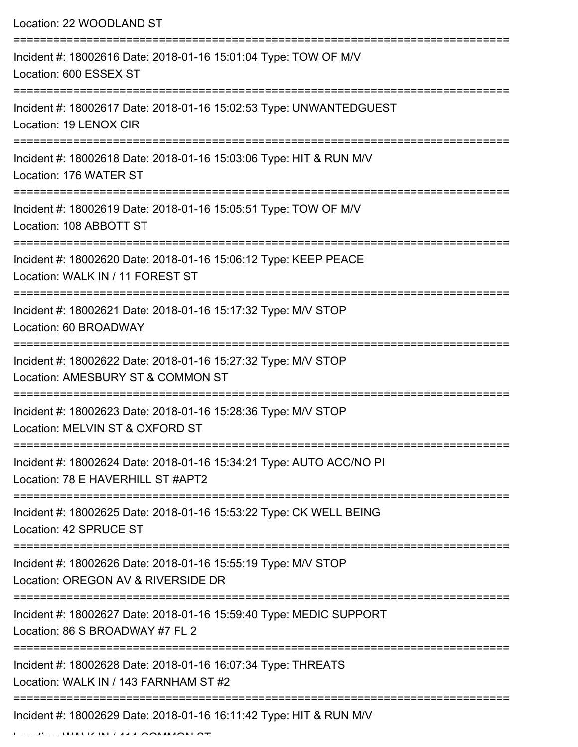Location: 22 WOODLAND ST

| Incident #: 18002616 Date: 2018-01-16 15:01:04 Type: TOW OF M/V<br>Location: 600 ESSEX ST                                       |
|---------------------------------------------------------------------------------------------------------------------------------|
| Incident #: 18002617 Date: 2018-01-16 15:02:53 Type: UNWANTEDGUEST<br>Location: 19 LENOX CIR                                    |
| Incident #: 18002618 Date: 2018-01-16 15:03:06 Type: HIT & RUN M/V<br>Location: 176 WATER ST                                    |
| Incident #: 18002619 Date: 2018-01-16 15:05:51 Type: TOW OF M/V<br>Location: 108 ABBOTT ST                                      |
| Incident #: 18002620 Date: 2018-01-16 15:06:12 Type: KEEP PEACE<br>Location: WALK IN / 11 FOREST ST                             |
| Incident #: 18002621 Date: 2018-01-16 15:17:32 Type: M/V STOP<br>Location: 60 BROADWAY                                          |
| Incident #: 18002622 Date: 2018-01-16 15:27:32 Type: M/V STOP<br>Location: AMESBURY ST & COMMON ST<br>========================= |
| Incident #: 18002623 Date: 2018-01-16 15:28:36 Type: M/V STOP<br>Location: MELVIN ST & OXFORD ST                                |
| Incident #: 18002624 Date: 2018-01-16 15:34:21 Type: AUTO ACC/NO PI<br>Location: 78 E HAVERHILL ST #APT2                        |
| Incident #: 18002625 Date: 2018-01-16 15:53:22 Type: CK WELL BEING<br>Location: 42 SPRUCE ST                                    |
| Incident #: 18002626 Date: 2018-01-16 15:55:19 Type: M/V STOP<br>Location: OREGON AV & RIVERSIDE DR                             |
| Incident #: 18002627 Date: 2018-01-16 15:59:40 Type: MEDIC SUPPORT<br>Location: 86 S BROADWAY #7 FL 2                           |
| Incident #: 18002628 Date: 2018-01-16 16:07:34 Type: THREATS<br>Location: WALK IN / 143 FARNHAM ST #2                           |
| Incident #: 18002629 Date: 2018-01-16 16:11:42 Type: HIT & RUN M/V                                                              |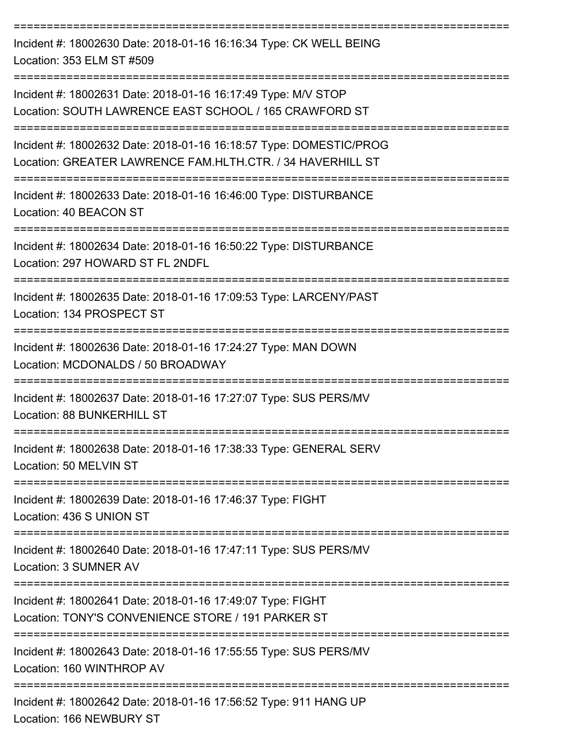| Incident #: 18002630 Date: 2018-01-16 16:16:34 Type: CK WELL BEING<br>Location: 353 ELM ST #509                                  |
|----------------------------------------------------------------------------------------------------------------------------------|
| Incident #: 18002631 Date: 2018-01-16 16:17:49 Type: M/V STOP<br>Location: SOUTH LAWRENCE EAST SCHOOL / 165 CRAWFORD ST          |
| Incident #: 18002632 Date: 2018-01-16 16:18:57 Type: DOMESTIC/PROG<br>Location: GREATER LAWRENCE FAM.HLTH.CTR. / 34 HAVERHILL ST |
| Incident #: 18002633 Date: 2018-01-16 16:46:00 Type: DISTURBANCE<br>Location: 40 BEACON ST                                       |
| Incident #: 18002634 Date: 2018-01-16 16:50:22 Type: DISTURBANCE<br>Location: 297 HOWARD ST FL 2NDFL                             |
| Incident #: 18002635 Date: 2018-01-16 17:09:53 Type: LARCENY/PAST<br>Location: 134 PROSPECT ST                                   |
| Incident #: 18002636 Date: 2018-01-16 17:24:27 Type: MAN DOWN<br>Location: MCDONALDS / 50 BROADWAY                               |
| Incident #: 18002637 Date: 2018-01-16 17:27:07 Type: SUS PERS/MV<br>Location: 88 BUNKERHILL ST                                   |
| Incident #: 18002638 Date: 2018-01-16 17:38:33 Type: GENERAL SERV<br>Location: 50 MELVIN ST                                      |
| -------------------------------<br>Incident #: 18002639 Date: 2018-01-16 17:46:37 Type: FIGHT<br>Location: 436 S UNION ST        |
| Incident #: 18002640 Date: 2018-01-16 17:47:11 Type: SUS PERS/MV<br>Location: 3 SUMNER AV                                        |
| Incident #: 18002641 Date: 2018-01-16 17:49:07 Type: FIGHT<br>Location: TONY'S CONVENIENCE STORE / 191 PARKER ST                 |
| Incident #: 18002643 Date: 2018-01-16 17:55:55 Type: SUS PERS/MV<br>Location: 160 WINTHROP AV                                    |
| Incident #: 18002642 Date: 2018-01-16 17:56:52 Type: 911 HANG UP<br>Location: 166 NEWBURY ST                                     |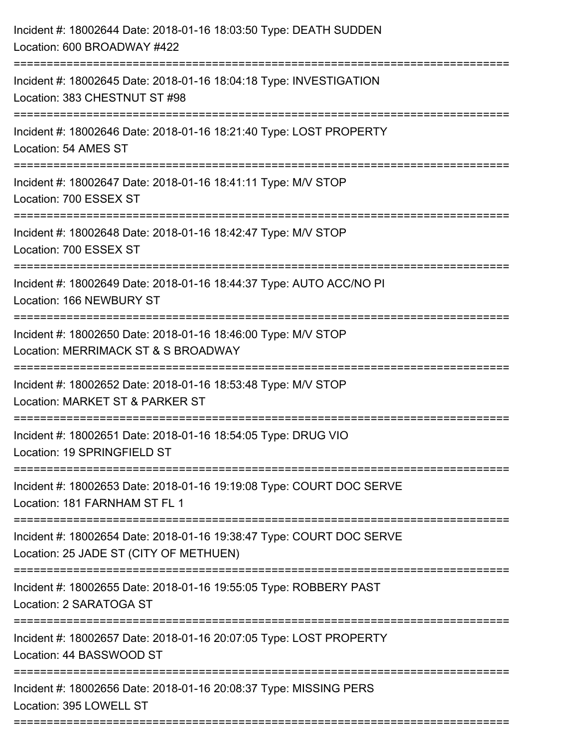| Incident #: 18002644 Date: 2018-01-16 18:03:50 Type: DEATH SUDDEN<br>Location: 600 BROADWAY #422                                                |
|-------------------------------------------------------------------------------------------------------------------------------------------------|
| ==================<br>Incident #: 18002645 Date: 2018-01-16 18:04:18 Type: INVESTIGATION<br>Location: 383 CHESTNUT ST #98<br>------------------ |
| Incident #: 18002646 Date: 2018-01-16 18:21:40 Type: LOST PROPERTY<br>Location: 54 AMES ST                                                      |
| Incident #: 18002647 Date: 2018-01-16 18:41:11 Type: M/V STOP<br>Location: 700 ESSEX ST<br>==============================                       |
| Incident #: 18002648 Date: 2018-01-16 18:42:47 Type: M/V STOP<br>Location: 700 ESSEX ST                                                         |
| Incident #: 18002649 Date: 2018-01-16 18:44:37 Type: AUTO ACC/NO PI<br>Location: 166 NEWBURY ST                                                 |
| Incident #: 18002650 Date: 2018-01-16 18:46:00 Type: M/V STOP<br>Location: MERRIMACK ST & S BROADWAY<br>-------------------------               |
| Incident #: 18002652 Date: 2018-01-16 18:53:48 Type: M/V STOP<br>Location: MARKET ST & PARKER ST                                                |
| Incident #: 18002651 Date: 2018-01-16 18:54:05 Type: DRUG VIO<br>Location: 19 SPRINGFIELD ST                                                    |
| Incident #: 18002653 Date: 2018-01-16 19:19:08 Type: COURT DOC SERVE<br>Location: 181 FARNHAM ST FL 1                                           |
| Incident #: 18002654 Date: 2018-01-16 19:38:47 Type: COURT DOC SERVE<br>Location: 25 JADE ST (CITY OF METHUEN)                                  |
| Incident #: 18002655 Date: 2018-01-16 19:55:05 Type: ROBBERY PAST<br>Location: 2 SARATOGA ST                                                    |
| Incident #: 18002657 Date: 2018-01-16 20:07:05 Type: LOST PROPERTY<br>Location: 44 BASSWOOD ST                                                  |
| Incident #: 18002656 Date: 2018-01-16 20:08:37 Type: MISSING PERS<br>Location: 395 LOWELL ST                                                    |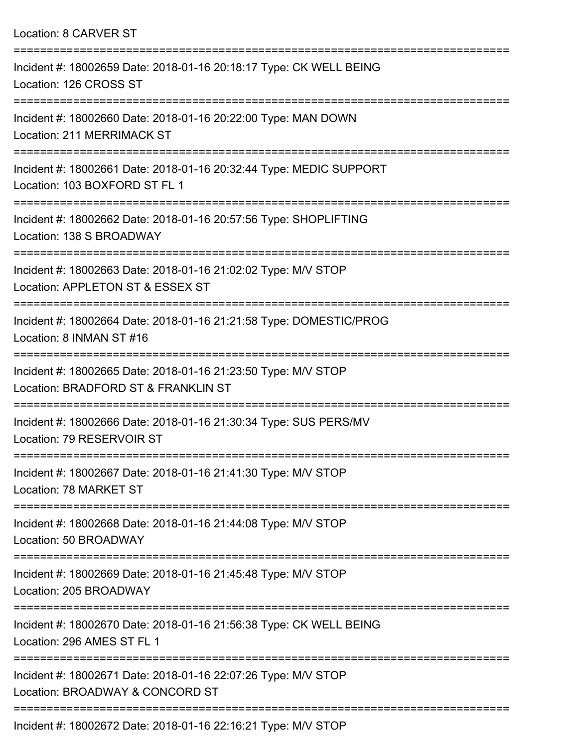| Location: 8 CARVER ST                                                                                                 |
|-----------------------------------------------------------------------------------------------------------------------|
| ---------------------<br>Incident #: 18002659 Date: 2018-01-16 20:18:17 Type: CK WELL BEING<br>Location: 126 CROSS ST |
| Incident #: 18002660 Date: 2018-01-16 20:22:00 Type: MAN DOWN<br>Location: 211 MERRIMACK ST                           |
| Incident #: 18002661 Date: 2018-01-16 20:32:44 Type: MEDIC SUPPORT<br>Location: 103 BOXFORD ST FL 1                   |
| Incident #: 18002662 Date: 2018-01-16 20:57:56 Type: SHOPLIFTING<br>Location: 138 S BROADWAY                          |
| Incident #: 18002663 Date: 2018-01-16 21:02:02 Type: M/V STOP<br>Location: APPLETON ST & ESSEX ST                     |
| Incident #: 18002664 Date: 2018-01-16 21:21:58 Type: DOMESTIC/PROG<br>Location: 8 INMAN ST #16                        |
| Incident #: 18002665 Date: 2018-01-16 21:23:50 Type: M/V STOP<br>Location: BRADFORD ST & FRANKLIN ST                  |
| Incident #: 18002666 Date: 2018-01-16 21:30:34 Type: SUS PERS/MV<br>Location: 79 RESERVOIR ST                         |
| Incident #: 18002667 Date: 2018-01-16 21:41:30 Type: M/V STOP<br>Location: 78 MARKET ST                               |
| Incident #: 18002668 Date: 2018-01-16 21:44:08 Type: M/V STOP<br>Location: 50 BROADWAY                                |
| Incident #: 18002669 Date: 2018-01-16 21:45:48 Type: M/V STOP<br>Location: 205 BROADWAY                               |
| Incident #: 18002670 Date: 2018-01-16 21:56:38 Type: CK WELL BEING<br>Location: 296 AMES ST FL 1                      |
| Incident #: 18002671 Date: 2018-01-16 22:07:26 Type: M/V STOP<br>Location: BROADWAY & CONCORD ST                      |
|                                                                                                                       |

Incident #: 18002672 Date: 2018-01-16 22:16:21 Type: M/V STOP